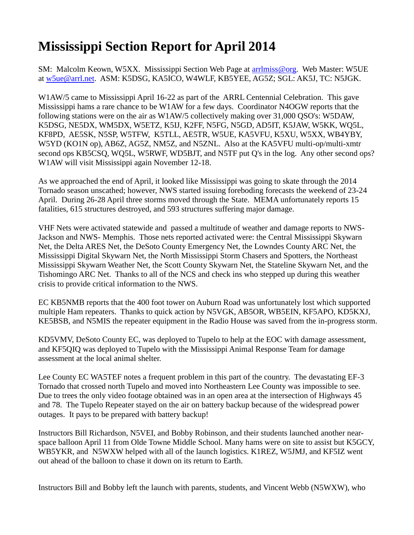## **Mississippi Section Report for April 2014**

SM: Malcolm Keown, W5XX. Mississippi Section Web Page at [arrlmiss@org.](mailto:arrlmiss@org) Web Master: W5UE at [w5ue@arrl.net.](mailto:w5ue@arrl.net) ASM: K5DSG, KA5ICO, W4WLF, KB5YEE, AG5Z; SGL: AK5J, TC: N5JGK.

W1AW/5 came to Mississippi April 16-22 as part of the ARRL Centennial Celebration. This gave Mississippi hams a rare chance to be W1AW for a few days. Coordinator N4OGW reports that the following stations were on the air as W1AW/5 collectively making over 31,000 QSO's: W5DAW, K5DSG, NE5DX, WM5DX, W5ETZ, K5IJ, K2FF, N5FG, N5GD, AD5IT, K5JAW, W5KK, WQ5L, KF8PD, AE5SK, N5SP, W5TFW, K5TLL, AE5TR, W5UE, KA5VFU, K5XU, W5XX, WB4YBY, W5YD (KO1N op), AB6Z, AG5Z, NM5Z, and N5ZNL. Also at the KA5VFU multi-op/multi-xmtr second ops KB5CSQ, WQ5L, W5RWF, WD5BJT, and N5TF put Q's in the log. Any other second ops? W1AW will visit Mississippi again November 12-18.

As we approached the end of April, it looked like Mississippi was going to skate through the 2014 Tornado season unscathed; however, NWS started issuing foreboding forecasts the weekend of 23-24 April. During 26-28 April three storms moved through the State. MEMA unfortunately reports 15 fatalities, 615 structures destroyed, and 593 structures suffering major damage.

VHF Nets were activated statewide and passed a multitude of weather and damage reports to NWS-Jackson and NWS- Memphis. Those nets reported activated were: the Central Mississippi Skywarn Net, the Delta ARES Net, the DeSoto County Emergency Net, the Lowndes County ARC Net, the Mississippi Digital Skywarn Net, the North Mississippi Storm Chasers and Spotters, the Northeast Mississippi Skywarn Weather Net, the Scott County Skywarn Net, the Stateline Skywarn Net, and the Tishomingo ARC Net. Thanks to all of the NCS and check ins who stepped up during this weather crisis to provide critical information to the NWS.

EC KB5NMB reports that the 400 foot tower on Auburn Road was unfortunately lost which supported multiple Ham repeaters. Thanks to quick action by N5VGK, AB5OR, WB5EIN, KF5APO, KD5KXJ, KE5BSB, and N5MIS the repeater equipment in the Radio House was saved from the in-progress storm.

KD5VMV, DeSoto County EC, was deployed to Tupelo to help at the EOC with damage assessment, and KF5QIQ was deployed to Tupelo with the Mississippi Animal Response Team for damage assessment at the local animal shelter.

Lee County EC WA5TEF notes a frequent problem in this part of the country. The devastating EF-3 Tornado that crossed north Tupelo and moved into Northeastern Lee County was impossible to see. Due to trees the only video footage obtained was in an open area at the intersection of Highways 45 and 78. The Tupelo Repeater stayed on the air on battery backup because of the widespread power outages. It pays to be prepared with battery backup!

Instructors Bill Richardson, N5VEI, and Bobby Robinson, and their students launched another nearspace balloon April 11 from Olde Towne Middle School. Many hams were on site to assist but K5GCY, WB5YKR, and N5WXW helped with all of the launch logistics. K1REZ, W5JMJ, and KF5IZ went out ahead of the balloon to chase it down on its return to Earth.

Instructors Bill and Bobby left the launch with parents, students, and Vincent Webb (N5WXW), who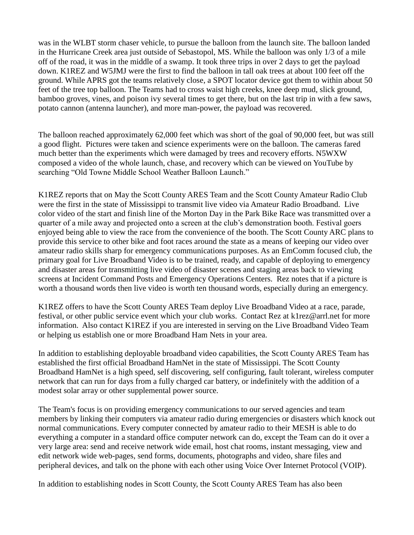was in the WLBT storm chaser vehicle, to pursue the balloon from the launch site. The balloon landed in the Hurricane Creek area just outside of Sebastopol, MS. While the balloon was only 1/3 of a mile off of the road, it was in the middle of a swamp. It took three trips in over 2 days to get the payload down. K1REZ and W5JMJ were the first to find the balloon in tall oak trees at about 100 feet off the ground. While APRS got the teams relatively close, a SPOT locator device got them to within about 50 feet of the tree top balloon. The Teams had to cross waist high creeks, knee deep mud, slick ground, bamboo groves, vines, and poison ivy several times to get there, but on the last trip in with a few saws, potato cannon (antenna launcher), and more man-power, the payload was recovered.

The balloon reached approximately 62,000 feet which was short of the goal of 90,000 feet, but was still a good flight. Pictures were taken and science experiments were on the balloon. The cameras fared much better than the experiments which were damaged by trees and recovery efforts. N5WXW composed a video of the whole launch, chase, and recovery which can be viewed on YouTube by searching "Old Towne Middle School Weather Balloon Launch."

K1REZ reports that on May the Scott County ARES Team and the Scott County Amateur Radio Club were the first in the state of Mississippi to transmit live video via Amateur Radio Broadband. Live color video of the start and finish line of the Morton Day in the Park Bike Race was transmitted over a quarter of a mile away and projected onto a screen at the club's demonstration booth. Festival goers enjoyed being able to view the race from the convenience of the booth. The Scott County ARC plans to provide this service to other bike and foot races around the state as a means of keeping our video over amateur radio skills sharp for emergency communications purposes. As an EmComm focused club, the primary goal for Live Broadband Video is to be trained, ready, and capable of deploying to emergency and disaster areas for transmitting live video of disaster scenes and staging areas back to viewing screens at Incident Command Posts and Emergency Operations Centers. Rez notes that if a picture is worth a thousand words then live video is worth ten thousand words, especially during an emergency.

K1REZ offers to have the Scott County ARES Team deploy Live Broadband Video at a race, parade, festival, or other public service event which your club works. Contact Rez at [k1rez@arrl.net](mailto:k1rez@arrl.net) for more information. Also contact K1REZ if you are interested in serving on the Live Broadband Video Team or helping us establish one or more Broadband Ham Nets in your area.

In addition to establishing deployable broadband video capabilities, the Scott County ARES Team has established the first official Broadband HamNet in the state of Mississippi. The Scott County Broadband HamNet is a high speed, self discovering, self configuring, fault tolerant, wireless computer network that can run for days from a fully charged car battery, or indefinitely with the addition of a modest solar array or other supplemental power source.

The Team's focus is on providing emergency communications to our served agencies and team members by linking their computers via amateur radio during emergencies or disasters which knock out normal communications. Every computer connected by amateur radio to their MESH is able to do everything a computer in a standard office computer network can do, except the Team can do it over a very large area: send and receive network wide email, host chat rooms, instant messaging, view and edit network wide web-pages, send forms, documents, photographs and video, share files and peripheral devices, and talk on the phone with each other using Voice Over Internet Protocol (VOIP).

In addition to establishing nodes in Scott County, the Scott County ARES Team has also been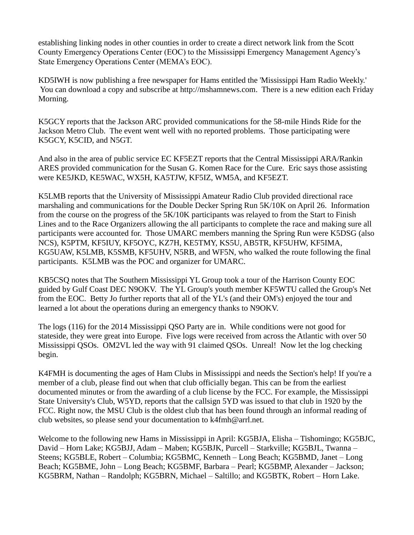establishing linking nodes in other counties in order to create a direct network link from the Scott County Emergency Operations Center (EOC) to the Mississippi Emergency Management Agency's State Emergency Operations Center (MEMA's EOC).

KD5IWH is now publishing a free newspaper for Hams entitled the 'Mississippi Ham Radio Weekly.' You can download a copy and subscribe at [http://mshamnews.com.](http://mshamnews.com/) There is a new edition each Friday Morning.

K5GCY reports that the Jackson ARC provided communications for the 58-mile Hinds Ride for the Jackson Metro Club. The event went well with no reported problems. Those participating were K5GCY, K5CID, and N5GT.

And also in the area of public service EC KF5EZT reports that the Central Mississippi ARA/Rankin ARES provided communication for the Susan G. Komen Race for the Cure. Eric says those assisting were KE5JKD, KE5WAC, WX5H, KA5TJW, KF5IZ, WM5A, and KF5EZT.

K5LMB reports that the University of Mississippi Amateur Radio Club provided directional race marshaling and communications for the Double Decker Spring Run 5K/10K on April 26. Information from the course on the progress of the 5K/10K participants was relayed to from the Start to Finish Lines and to the Race Organizers allowing the all participants to complete the race and making sure all participants were accounted for. Those UMARC members manning the Spring Run were K5DSG (also NCS), K5PTM, KF5IUY, KF5OYC, KZ7H, KE5TMY, KS5U, AB5TR, KF5UHW, KF5IMA, KG5UAW, K5LMB, K5SMB, KF5UHV, N5RB, and WF5N, who walked the route following the final participants. K5LMB was the POC and organizer for UMARC.

KB5CSQ notes that The Southern Mississippi YL Group took a tour of the Harrison County EOC guided by Gulf Coast DEC N9OKV. The YL Group's youth member KF5WTU called the Group's Net from the EOC. Betty Jo further reports that all of the YL's (and their OM's) enjoyed the tour and learned a lot about the operations during an emergency thanks to N9OKV.

The logs (116) for the 2014 Mississippi QSO Party are in. While conditions were not good for stateside, they were great into Europe. Five logs were received from across the Atlantic with over 50 Mississippi QSOs. OM2VL led the way with 91 claimed QSOs. Unreal! Now let the log checking begin.

K4FMH is documenting the ages of Ham Clubs in Mississippi and needs the Section's help! If you're a member of a club, please find out when that club officially began. This can be from the earliest documented minutes or from the awarding of a club license by the FCC. For example, the Mississippi State University's Club, W5YD, reports that the callsign 5YD was issued to that club in 1920 by the FCC. Right now, the MSU Club is the oldest club that has been found through an informal reading of club websites, so please send your documentation to [k4fmh@arrl.net.](mailto:k4fmh@arrl.net)

Welcome to the following new Hams in Mississippi in April: KG5BJA, Elisha – Tishomingo; KG5BJC, David – Horn Lake; KG5BJJ, Adam – Maben; KG5BJK, Purcell – Starkville; KG5BJL, Twanna – Steens; KG5BLE, Robert – Columbia; KG5BMC, Kenneth – Long Beach; KG5BMD, Janet – Long Beach; KG5BME, John – Long Beach; KG5BMF, Barbara – Pearl; KG5BMP, Alexander – Jackson; KG5BRM, Nathan – Randolph; KG5BRN, Michael – Saltillo; and KG5BTK, Robert – Horn Lake.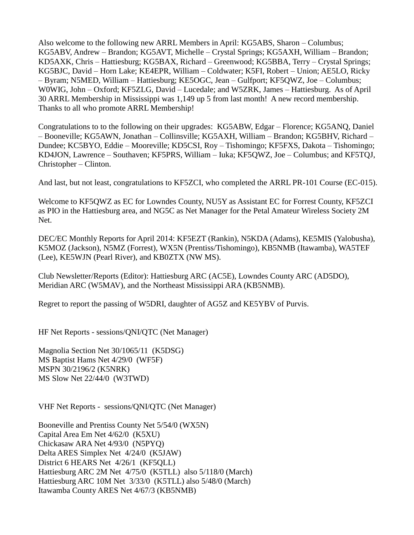Also welcome to the following new ARRL Members in April: KG5ABS, Sharon – Columbus; KG5ABV, Andrew – Brandon; KG5AVT, Michelle – Crystal Springs; KG5AXH, William – Brandon; KD5AXK, Chris – Hattiesburg; KG5BAX, Richard – Greenwood; KG5BBA, Terry – Crystal Springs; KG5BJC, David – Horn Lake; KE4EPR, William – Coldwater; K5FI, Robert – Union; AE5LO, Ricky – Byram; N5MED, William – Hattiesburg; KE5OGC, Jean – Gulfport; KF5QWZ, Joe – Columbus; W0WIG, John – Oxford; KF5ZLG, David – Lucedale; and W5ZRK, James – Hattiesburg. As of April 30 ARRL Membership in Mississippi was 1,149 up 5 from last month! A new record membership. Thanks to all who promote ARRL Membership!

Congratulations to to the following on their upgrades: KG5ABW, Edgar – Florence; KG5ANQ, Daniel – Booneville; KG5AWN, Jonathan – Collinsville; KG5AXH, William – Brandon; KG5BHV, Richard – Dundee; KC5BYO, Eddie – Mooreville; KD5CSI, Roy – Tishomingo; KF5FXS, Dakota – Tishomingo; KD4JON, Lawrence – Southaven; KF5PRS, William – Iuka; KF5QWZ, Joe – Columbus; and KF5TQJ, Christopher – Clinton.

And last, but not least, congratulations to KF5ZCI, who completed the ARRL PR-101 Course (EC-015).

Welcome to KF5QWZ as EC for Lowndes County, NU5Y as Assistant EC for Forrest County, KF5ZCI as PIO in the Hattiesburg area, and NG5C as Net Manager for the Petal Amateur Wireless Society 2M Net.

DEC/EC Monthly Reports for April 2014: KF5EZT (Rankin), N5KDA (Adams), KE5MIS (Yalobusha), K5MOZ (Jackson), N5MZ (Forrest), WX5N (Prentiss/Tishomingo), KB5NMB (Itawamba), WA5TEF (Lee), KE5WJN (Pearl River), and KB0ZTX (NW MS).

Club Newsletter/Reports (Editor): Hattiesburg ARC (AC5E), Lowndes County ARC (AD5DO), Meridian ARC (W5MAV), and the Northeast Mississippi ARA (KB5NMB).

Regret to report the passing of W5DRI, daughter of AG5Z and KE5YBV of Purvis.

HF Net Reports - sessions/QNI/QTC (Net Manager)

Magnolia Section Net 30/1065/11 (K5DSG) MS Baptist Hams Net 4/29/0 (WF5F) MSPN 30/2196/2 (K5NRK) MS Slow Net 22/44/0 (W3TWD)

VHF Net Reports - sessions/QNI/QTC (Net Manager)

Booneville and Prentiss County Net 5/54/0 (WX5N) Capital Area Em Net 4/62/0 (K5XU) Chickasaw ARA Net 4/93/0 (N5PYQ) Delta ARES Simplex Net 4/24/0 (K5JAW) District 6 HEARS Net 4/26/1 (KF5QLL) Hattiesburg ARC 2M Net 4/75/0 (K5TLL) also 5/118/0 (March) Hattiesburg ARC 10M Net 3/33/0 (K5TLL) also 5/48/0 (March) Itawamba County ARES Net 4/67/3 (KB5NMB)